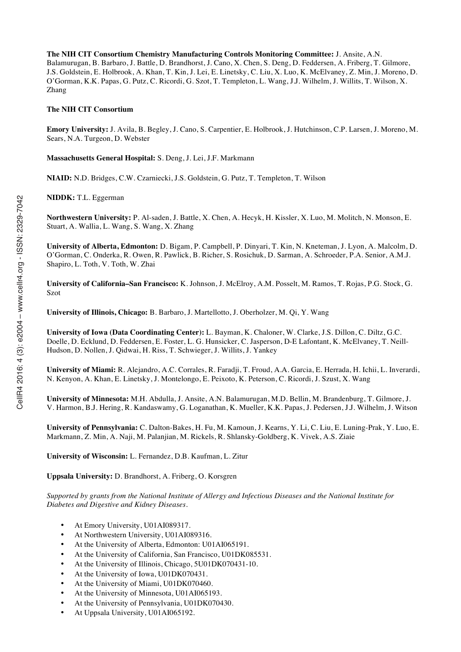**The NIH CIT Consortium Chemistry Manufacturing Controls Monitoring Committee:** J. Ansite, A.N. Balamurugan, B. Barbaro, J. Battle, D. Brandhorst, J. Cano, X. Chen, S. Deng, D. Feddersen, A. Friberg, T. Gilmore, J.S. Goldstein, E. Holbrook, A. Khan, T. Kin, J. Lei, E. Linetsky, C. Liu, X. Luo, K. McElvaney, Z. Min, J. Moreno, D. O'Gorman, K.K. Papas, G. Putz, C. Ricordi, G. Szot, T. Templeton, L. Wang, J.J. Wilhelm, J. Willits, T. Wilson, X. Zhang

#### **The NIH CIT Consortium**

**Emory University:** J. Avila, B. Begley, J. Cano, S. Carpentier, E. Holbrook, J. Hutchinson, C.P. Larsen, J. Moreno, M. Sears, N.A. Turgeon, D. Webster

**Massachusetts General Hospital:** S. Deng, J. Lei, J.F. Markmann

**NIAID:** N.D. Bridges, C.W. Czarniecki, J.S. Goldstein, G. Putz, T. Templeton, T. Wilson

**NIDDK:** T.L. Eggerman

**Northwestern University:** P. Al-saden, J. Battle, X. Chen, A. Hecyk, H. Kissler, X. Luo, M. Molitch, N. Monson, E. Stuart, A. Wallia, L. Wang, S. Wang, X. Zhang

**University of Alberta, Edmonton:** D. Bigam, P. Campbell, P. Dinyari, T. Kin, N. Kneteman, J. Lyon, A. Malcolm, D. O'Gorman, C. Onderka, R. Owen, R. Pawlick, B. Richer, S. Rosichuk, D. Sarman, A. Schroeder, P.A. Senior, A.M.J. Shapiro, L. Toth, V. Toth, W. Zhai

**University of California–San Francisco:** K. Johnson, J. McElroy, A.M. Posselt, M. Ramos, T. Rojas, P.G. Stock, G. Szot

**University of Illinois, Chicago:** B. Barbaro, J. Martellotto, J. Oberholzer, M. Qi, Y. Wang

**University of Iowa (Data Coordinating Center):** L. Bayman, K. Chaloner, W. Clarke, J.S. Dillon, C. Diltz, G.C. Doelle, D. Ecklund, D. Feddersen, E. Foster, L. G. Hunsicker, C. Jasperson, D-E Lafontant, K. McElvaney, T. Neill-Hudson, D. Nollen, J. Qidwai, H. Riss, T. Schwieger, J. Willits, J. Yankey

**University of Miami:** R. Alejandro, A.C. Corrales, R. Faradji, T. Froud, A.A. Garcia, E. Herrada, H. Ichii, L. Inverardi, N. Kenyon, A. Khan, E. Linetsky, J. Montelongo, E. Peixoto, K. Peterson, C. Ricordi, J. Szust, X. Wang

**University of Minnesota:** M.H. Abdulla, J. Ansite, A.N. Balamurugan, M.D. Bellin, M. Brandenburg, T. Gilmore, J. V. Harmon, B.J. Hering, R. Kandaswamy, G. Loganathan, K. Mueller, K.K. Papas, J. Pedersen, J.J. Wilhelm, J. Witson

**University of Pennsylvania:** C. Dalton-Bakes, H. Fu, M. Kamoun, J. Kearns, Y. Li, C. Liu, E. Luning-Prak, Y. Luo, E. Markmann, Z. Min, A. Naji, M. Palanjian, M. Rickels, R. Shlansky-Goldberg, K. Vivek, A.S. Ziaie

**University of Wisconsin:** L. Fernandez, D.B. Kaufman, L. Zitur

**Uppsala University:** D. Brandhorst, A. Friberg, O. Korsgren

*Supported by grants from the National Institute of Allergy and Infectious Diseases and the National Institute for Diabetes and Digestive and Kidney Diseases.*

- At Emory University, U01AI089317.
- At Northwestern University, U01AI089316.
- At the University of Alberta, Edmonton: U01AI065191.
- At the University of California, San Francisco, U01DK085531.
- At the University of Illinois, Chicago, 5U01DK070431-10.
- At the University of Iowa, U01DK070431.
- At the University of Miami, U01DK070460.
- At the University of Minnesota, U01AI065193.
- At the University of Pennsylvania, U01DK070430.
- At Uppsala University, U01AI065192.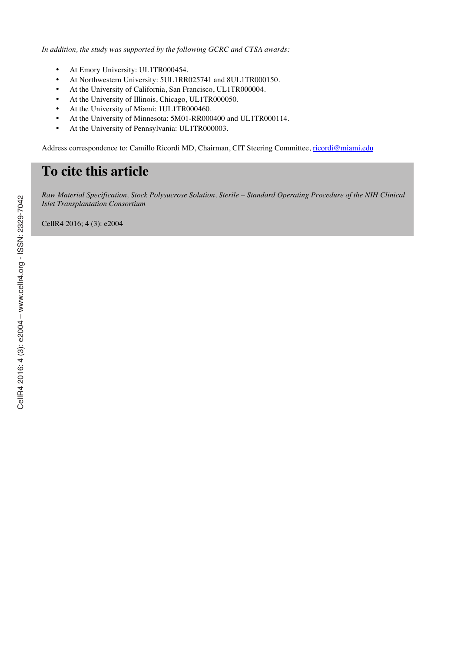*In addition, the study was supported by the following GCRC and CTSA awards:*

- At Emory University: UL1TR000454.
- At Northwestern University: 5UL1RR025741 and 8UL1TR000150.
- At the University of California, San Francisco, UL1TR000004.
- At the University of Illinois, Chicago, UL1TR000050.
- At the University of Miami: 1UL1TR000460.
- At the University of Minnesota: 5M01-RR000400 and UL1TR000114.
- At the University of Pennsylvania: UL1TR000003.

Address correspondence to: Camillo Ricordi MD, Chairman, CIT Steering Committee, ricordi@miami.edu

## **To cite this article**

*Raw Material Specification, Stock Polysucrose Solution, Sterile – Standard Operating Procedure of the NIH Clinical Islet Transplantation Consortium*

CellR4 2016; 4 (3): e2004